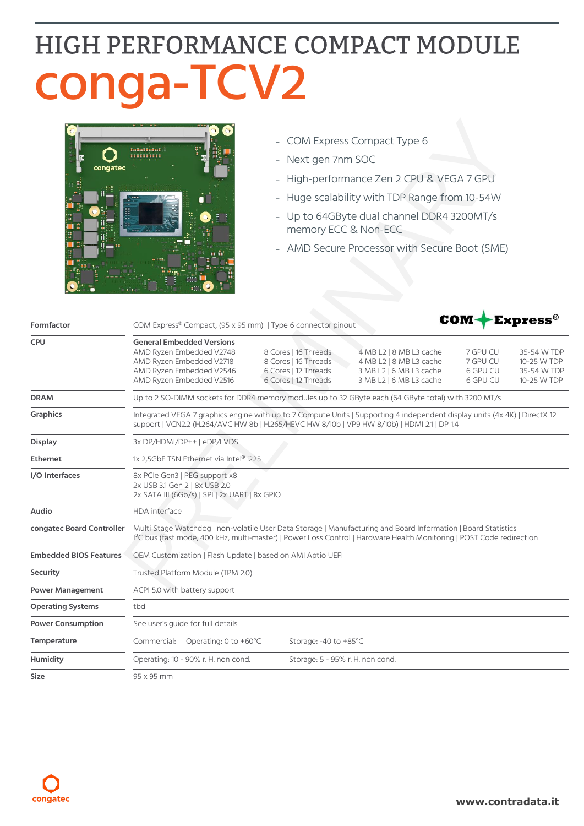## HIGH PERFORMANCE COMPACT MODULE conga-TCV2



- COM Express Compact Type 6
- Next gen 7nm SOC  $\frac{1}{2}$
- High-performance Zen 2 CPU & VEGA 7 GPU  $\bar{\phantom{a}}$
- Huge scalability with TDP Range from 10-54W  $\overline{a}$
- Up to 64GByte dual channel DDR4 3200MT/s memory ECC & Non-ECC
- AMD Secure Processor with Secure Boot (SME)

| Formfactor                    | COM-<br>$\blacktriangleright$ Express $^\circ$<br>COM Express® Compact, (95 x 95 mm)   Type 6 connector pinout                                                                                                                                     |                                                                                              |                                                                                                          |                                              |                                                          |  |
|-------------------------------|----------------------------------------------------------------------------------------------------------------------------------------------------------------------------------------------------------------------------------------------------|----------------------------------------------------------------------------------------------|----------------------------------------------------------------------------------------------------------|----------------------------------------------|----------------------------------------------------------|--|
| <b>CPU</b>                    | <b>General Embedded Versions</b><br>AMD Ryzen Embedded V2748<br>AMD Ryzen Embedded V2718<br>AMD Ryzen Embedded V2546<br>AMD Ryzen Embedded V2516                                                                                                   | 8 Cores   16 Threads<br>8 Cores   16 Threads<br>6 Cores   12 Threads<br>6 Cores   12 Threads | 4 MB L2   8 MB L3 cache<br>4 MB L2   8 MB L3 cache<br>3 MB L2   6 MB L3 cache<br>3 MB L2   6 MB L3 cache | 7 GPU CU<br>7 GPU CU<br>6 GPU CU<br>6 GPU CU | 35-54 W TDP<br>10-25 W TDP<br>35-54 W TDP<br>10-25 W TDP |  |
| <b>DRAM</b>                   | Up to 2 SO-DIMM sockets for DDR4 memory modules up to 32 GByte each (64 GByte total) with 3200 MT/s                                                                                                                                                |                                                                                              |                                                                                                          |                                              |                                                          |  |
| <b>Graphics</b>               | Integrated VEGA 7 graphics engine with up to 7 Compute Units   Supporting 4 independent display units (4x 4K)   DirectX 12<br>support   VCN2.2 (H.264/AVC HW 8b   H.265/HEVC HW 8/10b   VP9 HW 8/10b)   HDMI 2.1   DP 1.4                          |                                                                                              |                                                                                                          |                                              |                                                          |  |
| <b>Display</b>                | 3x DP/HDMI/DP++   eDP/LVDS                                                                                                                                                                                                                         |                                                                                              |                                                                                                          |                                              |                                                          |  |
| <b>Ethernet</b>               | 1x 2,5GbE TSN Ethernet via Intel® i225                                                                                                                                                                                                             |                                                                                              |                                                                                                          |                                              |                                                          |  |
| I/O Interfaces                | 8x PCle Gen3   PEG support x8<br>2x USB 3.1 Gen 2   8x USB 2.0<br>2x SATA III (6Gb/s)   SPI   2x UART   8x GPIO                                                                                                                                    |                                                                                              |                                                                                                          |                                              |                                                          |  |
| Audio                         | HDA interface                                                                                                                                                                                                                                      |                                                                                              |                                                                                                          |                                              |                                                          |  |
| congatec Board Controller     | Multi Stage Watchdog   non-volatile User Data Storage   Manufacturing and Board Information   Board Statistics<br><sup>12</sup> C bus (fast mode, 400 kHz, multi-master)   Power Loss Control   Hardware Health Monitoring   POST Code redirection |                                                                                              |                                                                                                          |                                              |                                                          |  |
| <b>Embedded BIOS Features</b> | OEM Customization   Flash Update   based on AMI Aptio UEFI                                                                                                                                                                                         |                                                                                              |                                                                                                          |                                              |                                                          |  |
| Security                      | Trusted Platform Module (TPM 2.0)                                                                                                                                                                                                                  |                                                                                              |                                                                                                          |                                              |                                                          |  |
| <b>Power Management</b>       | ACPI 5.0 with battery support                                                                                                                                                                                                                      |                                                                                              |                                                                                                          |                                              |                                                          |  |
| <b>Operating Systems</b>      | tbd                                                                                                                                                                                                                                                |                                                                                              |                                                                                                          |                                              |                                                          |  |
| <b>Power Consumption</b>      | See user's guide for full details                                                                                                                                                                                                                  |                                                                                              |                                                                                                          |                                              |                                                          |  |
| Temperature                   | Operating: 0 to +60°C<br>Commercial:                                                                                                                                                                                                               | Storage: -40 to +85°C                                                                        |                                                                                                          |                                              |                                                          |  |
| Humidity                      | Operating: 10 - 90% r. H. non cond.                                                                                                                                                                                                                | Storage: 5 - 95% r. H. non cond.                                                             |                                                                                                          |                                              |                                                          |  |
| <b>Size</b>                   | 95 x 95 mm                                                                                                                                                                                                                                         |                                                                                              |                                                                                                          |                                              |                                                          |  |
|                               |                                                                                                                                                                                                                                                    |                                                                                              |                                                                                                          |                                              |                                                          |  |